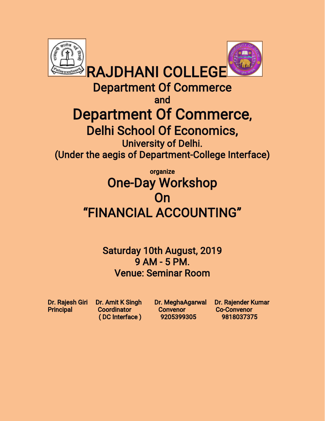

Department Of Commerce

and

# Department Of Commerce,

Delhi School Of Economics, University of Delhi.

(Under the aegis of Department-College Interface)

## organize **One-Day Workshop** On "FINANCIALACCOUNTING"

Saturday 10th August, 2019 9AM-5PM. Venue: Seminar Room

Principal Coordinator Convenor Co-Convenor (DCInterface) 9205399305 9818037375

Dr. Rajesh Giri Dr. Amit K Singh Dr. MeghaAgarwal Dr. Rajender Kumar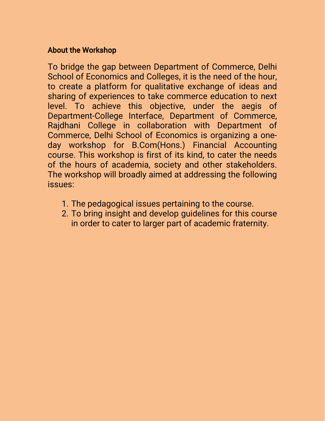#### **About the Workshop**

To bridge the gap between Department of Commerce, Delhi School of Economics and Colleges, it is the need of the hour, to create a platform for qualitative exchange of ideas and sharing of experiences to take commerce education to next level. To achieve this objective, under the aegis of Department-College Interface, Department of Commerce, Rajdhani College in collaboration with Department of Commerce, Delhi School of Economics is organizing a oneday workshop for B.Com(Hons.) Financial Accounting course. This workshop is first of its kind, to cater the needs of the hours of academia, society and other stakeholders. The workshop will broadly aimed at addressing the following issues:

- 1. The pedagogical issues pertaining to the course.
- 2. To bring insight and develop quidelines for this course in order to cater to larger part of academic fraternity.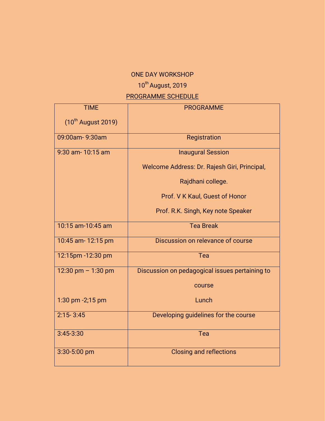#### ONE DAY WORKSHOP

## 10<sup>th</sup> August, 2019

### PROGRAMME SCHEDULE

| <b>TIME</b>             | <b>PROGRAMME</b>                               |
|-------------------------|------------------------------------------------|
| $(10^{th}$ August 2019) |                                                |
| 09:00am-9:30am          | Registration                                   |
| 9:30 am-10:15 am        | <b>Inaugural Session</b>                       |
|                         | Welcome Address: Dr. Rajesh Giri, Principal,   |
|                         | Rajdhani college.                              |
|                         | Prof. V K Kaul, Guest of Honor                 |
|                         | Prof. R.K. Singh, Key note Speaker             |
| 10:15 am-10:45 am       | <b>Tea Break</b>                               |
| 10:45 am- 12:15 pm      | Discussion on relevance of course              |
| 12:15pm -12:30 pm       | Tea                                            |
| 12:30 pm $- 1:30$ pm    | Discussion on pedagogical issues pertaining to |
|                         | course                                         |
| 1:30 pm -2;15 pm        | Lunch                                          |
| $2:15 - 3:45$           | Developing guidelines for the course           |
| $3:45 - 3:30$           | Tea                                            |
| 3:30-5:00 pm            | <b>Closing and reflections</b>                 |